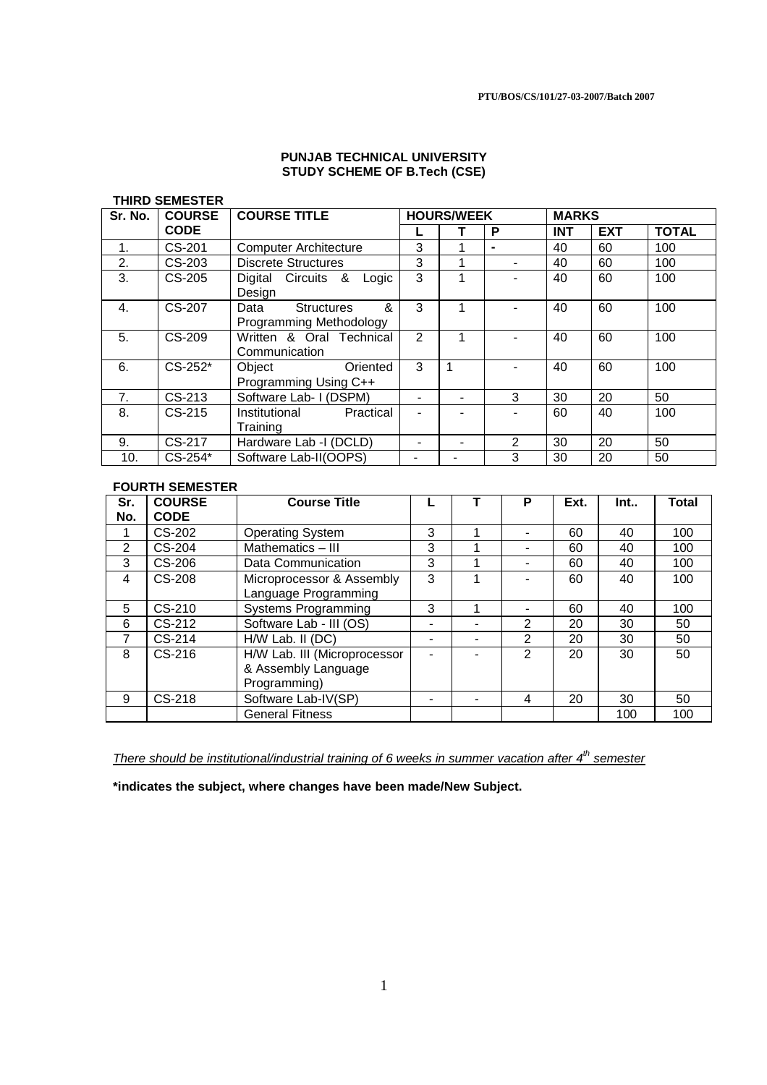### **PUNJAB TECHNICAL UNIVERSITY STUDY SCHEME OF B.Tech (CSE)**

#### **THIRD SEMESTER**

| Sr. No. | <b>COURSE</b> | <b>COURSE TITLE</b>                                       |                | <b>HOURS/WEEK</b> |   |            | <b>MARKS</b> |              |  |  |
|---------|---------------|-----------------------------------------------------------|----------------|-------------------|---|------------|--------------|--------------|--|--|
|         | <b>CODE</b>   |                                                           |                |                   | P | <b>INT</b> | <b>EXT</b>   | <b>TOTAL</b> |  |  |
| 1.      | CS-201        | <b>Computer Architecture</b>                              | 3              |                   |   | 40         | 60           | 100          |  |  |
| 2.      | CS-203        | <b>Discrete Structures</b>                                | 3              |                   |   | 40         | 60           | 100          |  |  |
| 3.      | CS-205        | Digital Circuits &<br>Logic<br>Design                     | 3              | 1                 |   | 40         | 60           | 100          |  |  |
| 4.      | CS-207        | &<br><b>Structures</b><br>Data<br>Programming Methodology | 3              | 1                 |   | 40         | 60           | 100          |  |  |
| 5.      | CS-209        | Written & Oral Technical<br>Communication                 | $\overline{2}$ | 1                 |   | 40         | 60           | 100          |  |  |
| 6.      | $CS-252*$     | Object<br>Oriented<br>Programming Using C++               | 3              |                   |   | 40         | 60           | 100          |  |  |
| 7.      | $CS-213$      | Software Lab- I (DSPM)                                    | ۰              |                   | 3 | 30         | 20           | 50           |  |  |
| 8.      | $CS-215$      | Institutional<br>Practical<br>Training                    |                |                   |   | 60         | 40           | 100          |  |  |
| 9.      | CS-217        | Hardware Lab -I (DCLD)                                    |                |                   | 2 | 30         | 20           | 50           |  |  |
| 10.     | $CS-254*$     | Software Lab-II(OOPS)                                     |                |                   | 3 | 30         | 20           | 50           |  |  |

### **FOURTH SEMESTER**

| Sr. | <b>COURSE</b> | <b>Course Title</b>          |   | P | Ext. | Int. | <b>Total</b> |
|-----|---------------|------------------------------|---|---|------|------|--------------|
| No. | <b>CODE</b>   |                              |   |   |      |      |              |
|     | CS-202        | <b>Operating System</b>      | 3 |   | 60   | 40   | 100          |
| 2   | $CS-204$      | Mathematics - III            | 3 |   | 60   | 40   | 100          |
| 3   | $CS-206$      | Data Communication           | 3 |   | 60   | 40   | 100          |
| 4   | CS-208        | Microprocessor & Assembly    | 3 |   | 60   | 40   | 100          |
|     |               | Language Programming         |   |   |      |      |              |
| 5   | $CS-210$      | <b>Systems Programming</b>   | 3 |   | 60   | 40   | 100          |
| 6   | $CS-212$      | Software Lab - III (OS)      |   | 2 | 20   | 30   | 50           |
| 7   | $CS-214$      | $H/W$ Lab. II (DC)           |   | 2 | 20   | 30   | 50           |
| 8   | $CS-216$      | H/W Lab. III (Microprocessor |   | 2 | 20   | 30   | 50           |
|     |               | & Assembly Language          |   |   |      |      |              |
|     |               | Programming)                 |   |   |      |      |              |
| 9   | $CS-218$      | Software Lab-IV(SP)          |   | 4 | 20   | 30   | 50           |
|     |               | <b>General Fitness</b>       |   |   |      | 100  | 100          |

There should be institutional/industrial training of 6 weeks in summer vacation after  $4<sup>th</sup>$  semester

**\*indicates the subject, where changes have been made/New Subject.**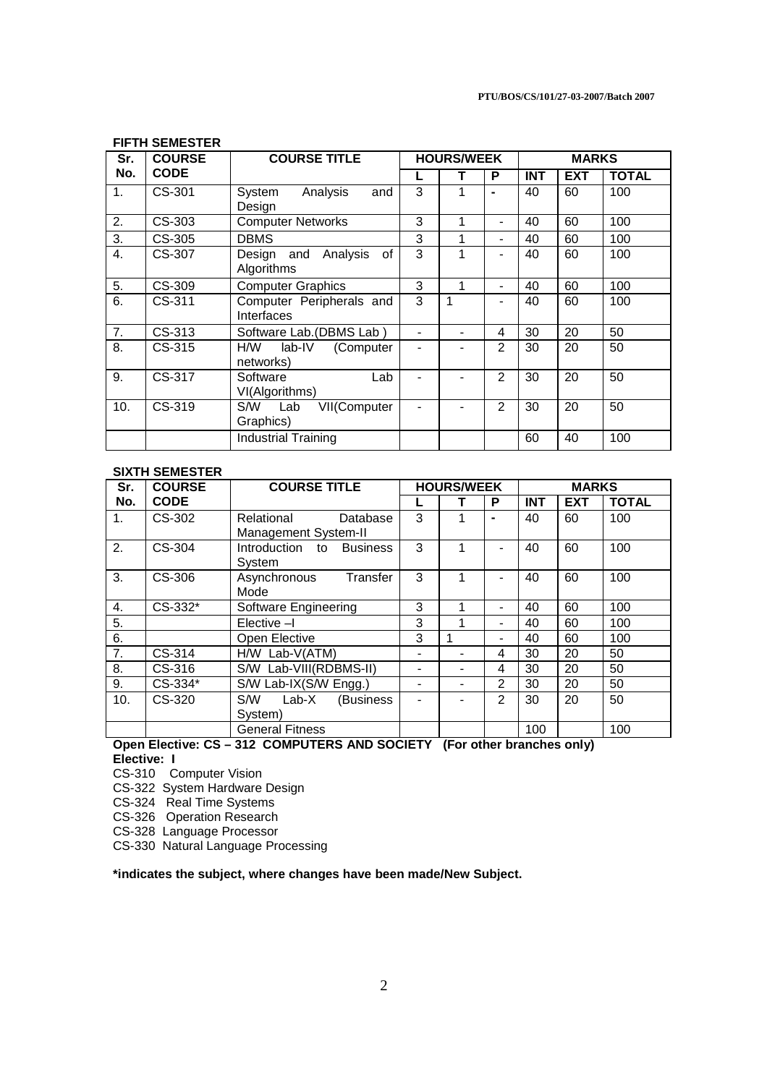| Sr. | <b>COURSE</b> | <b>COURSE TITLE</b>                        |   | <b>HOURS/WEEK</b> |                | <b>MARKS</b> |            |              |
|-----|---------------|--------------------------------------------|---|-------------------|----------------|--------------|------------|--------------|
| No. | <b>CODE</b>   |                                            |   | т                 | P              | <b>INT</b>   | <b>EXT</b> | <b>TOTAL</b> |
| 1.  | CS-301        | Analysis<br>System<br>and                  | 3 | 1                 | $\blacksquare$ | 40           | 60         | 100          |
|     |               | Design                                     |   |                   |                |              |            |              |
| 2.  | CS-303        | <b>Computer Networks</b>                   | 3 | 1                 | $\blacksquare$ | 40           | 60         | 100          |
| 3.  | CS-305        | <b>DBMS</b>                                | 3 | 1                 | $\blacksquare$ | 40           | 60         | 100          |
| 4.  | CS-307        | Analysis<br>οf<br>Design and<br>Algorithms | 3 | 1                 | $\blacksquare$ | 40           | 60         | 100          |
| 5.  | CS-309        | <b>Computer Graphics</b>                   | 3 | 1                 | $\blacksquare$ | 40           | 60         | 100          |
| 6.  | CS-311        | Computer Peripherals and<br>Interfaces     | 3 | 1                 | $\blacksquare$ | 40           | 60         | 100          |
| 7.  | CS-313        | Software Lab.(DBMS Lab)                    |   |                   | 4              | 30           | 20         | 50           |
| 8.  | CS-315        | H/W<br>lab-IV<br>(Computer<br>networks)    |   |                   | $\overline{2}$ | 30           | 20         | 50           |
| 9.  | CS-317        | Lab<br>Software<br>VI(Algorithms)          |   |                   | $\mathfrak{p}$ | 30           | 20         | 50           |
| 10. | CS-319        | VII(Computer<br>S/W<br>Lab<br>Graphics)    |   |                   | $\overline{2}$ | 30           | 20         | 50           |
|     |               | <b>Industrial Training</b>                 |   |                   |                | 60           | 40         | 100          |

# **FIFTH SEMESTER**

#### **SIXTH SEMESTER**

| Sr.           | <b>COURSE</b> | <b>COURSE TITLE</b>                            |                          | <b>HOURS/WEEK</b> |                          | <b>MARKS</b> |            |              |  |
|---------------|---------------|------------------------------------------------|--------------------------|-------------------|--------------------------|--------------|------------|--------------|--|
| No.           | <b>CODE</b>   |                                                |                          |                   | P                        | <b>INT</b>   | <b>EXT</b> | <b>TOTAL</b> |  |
| $\mathbf 1$ . | CS-302        | Relational<br>Database<br>Management System-II | 3                        |                   |                          | 40           | 60         | 100          |  |
| 2.            | CS-304        | Introduction to<br><b>Business</b><br>System   | 3                        | 1                 | $\overline{\phantom{0}}$ | 40           | 60         | 100          |  |
| 3.            | CS-306        | Asynchronous<br>Transfer<br>Mode               | 3                        | 1                 |                          | 40           | 60         | 100          |  |
| 4.            | $CS-332*$     | Software Engineering                           | 3                        |                   | ۰                        | 40           | 60         | 100          |  |
| 5.            |               | Elective -I                                    | 3                        |                   | -                        | 40           | 60         | 100          |  |
| 6.            |               | Open Elective                                  | 3                        | 1                 | $\blacksquare$           | 40           | 60         | 100          |  |
| 7.            | CS-314        | H/W Lab-V(ATM)                                 | -                        |                   | 4                        | 30           | 20         | 50           |  |
| 8.            | CS-316        | S/W Lab-VIII(RDBMS-II)                         | $\overline{\phantom{0}}$ |                   | 4                        | 30           | 20         | 50           |  |
| 9.            | CS-334*       | S/W Lab-IX(S/W Engg.)                          | $\overline{\phantom{0}}$ |                   | 2                        | 30           | 20         | 50           |  |
| 10.           | CS-320        | S/W<br>$Lab-X$<br>(Business)<br>System)        |                          |                   | $\mathfrak{p}$           | 30           | 20         | 50           |  |
|               |               | <b>General Fitness</b>                         |                          |                   |                          | 100          |            | 100          |  |

#### **Open Elective: CS – 312 COMPUTERS AND SOCIETY (For other branches only) Elective: I**

CS-310 Computer Vision

CS-322 System Hardware Design

CS-324 Real Time Systems

CS-326 Operation Research

CS-328 Language Processor

CS-330 Natural Language Processing

## **\*indicates the subject, where changes have been made/New Subject.**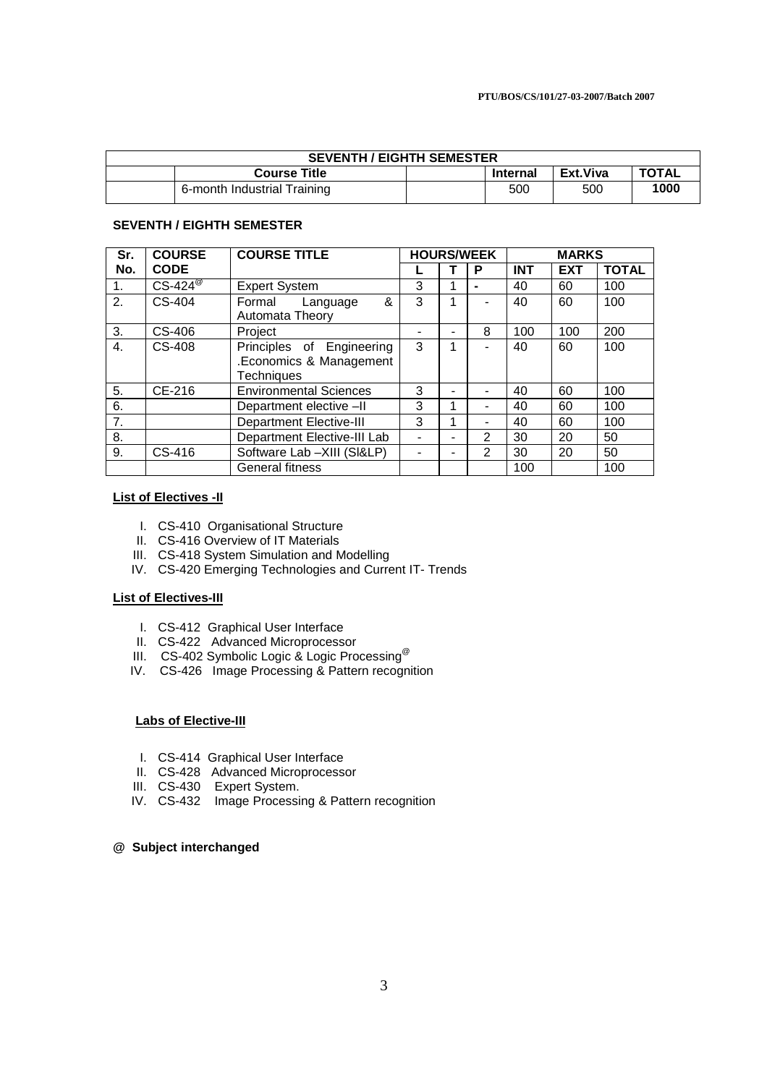| <b>SEVENTH / EIGHTH SEMESTER</b> |                                                                    |  |     |     |      |  |  |  |
|----------------------------------|--------------------------------------------------------------------|--|-----|-----|------|--|--|--|
|                                  | <b>TOTAL</b><br>Ext.Viva<br><b>Course Title</b><br><b>Internal</b> |  |     |     |      |  |  |  |
|                                  | 6-month Industrial Training                                        |  | 500 | 500 | 1000 |  |  |  |

## **SEVENTH / EIGHTH SEMESTER**

| Sr.              | <b>COURSE</b>         | <b>COURSE TITLE</b>            |   |   | <b>HOURS/WEEK</b> | <b>MARKS</b> |            |              |
|------------------|-----------------------|--------------------------------|---|---|-------------------|--------------|------------|--------------|
| No.              | <b>CODE</b>           |                                |   |   | P                 | <b>INT</b>   | <b>EXT</b> | <b>TOTAL</b> |
| 1.               | $CS-424^{\circ\circ}$ | <b>Expert System</b>           | 3 |   | $\blacksquare$    | 40           | 60         | 100          |
| 2.               | CS-404                | Formal<br>&<br>Language        | 3 |   |                   | 40           | 60         | 100          |
|                  |                       | Automata Theory                |   |   |                   |              |            |              |
| 3.               | CS-406                | Project                        |   |   | 8                 | 100          | 100        | 200          |
| $\overline{4}$ . | CS-408                | Principles of Engineering      | 3 | 4 |                   | 40           | 60         | 100          |
|                  |                       | .Economics & Management        |   |   |                   |              |            |              |
|                  |                       | Techniques                     |   |   |                   |              |            |              |
| 5.               | CE-216                | <b>Environmental Sciences</b>  | 3 |   |                   | 40           | 60         | 100          |
| 6.               |                       | Department elective -II        | 3 |   |                   | 40           | 60         | 100          |
| 7.               |                       | <b>Department Elective-III</b> | 3 | 4 |                   | 40           | 60         | 100          |
| 8.               |                       | Department Elective-III Lab    |   |   | $\overline{2}$    | 30           | 20         | 50           |
| 9.               | CS-416                | Software Lab -XIII (SI&LP)     |   |   | $\overline{2}$    | 30           | 20         | 50           |
|                  |                       | <b>General fitness</b>         |   |   |                   | 100          |            | 100          |

## **List of Electives -II**

- I. CS-410 Organisational Structure
- II. CS-416 Overview of IT Materials
- III. CS-418 System Simulation and Modelling
- IV. CS-420 Emerging Technologies and Current IT- Trends

## **List of Electives-III**

- I. CS-412 Graphical User Interface
- II. CS-422 Advanced Microprocessor
- III. CS-402 Symbolic Logic & Logic Processing<sup>@</sup>
	- IV. CS-426 Image Processing & Pattern recognition

## **Labs of Elective-III**

- I. CS-414 Graphical User Interface
- II. CS-428 Advanced Microprocessor
- III. CS-430 Expert System.
- IV. CS-432 Image Processing & Pattern recognition

## **@ Subject interchanged**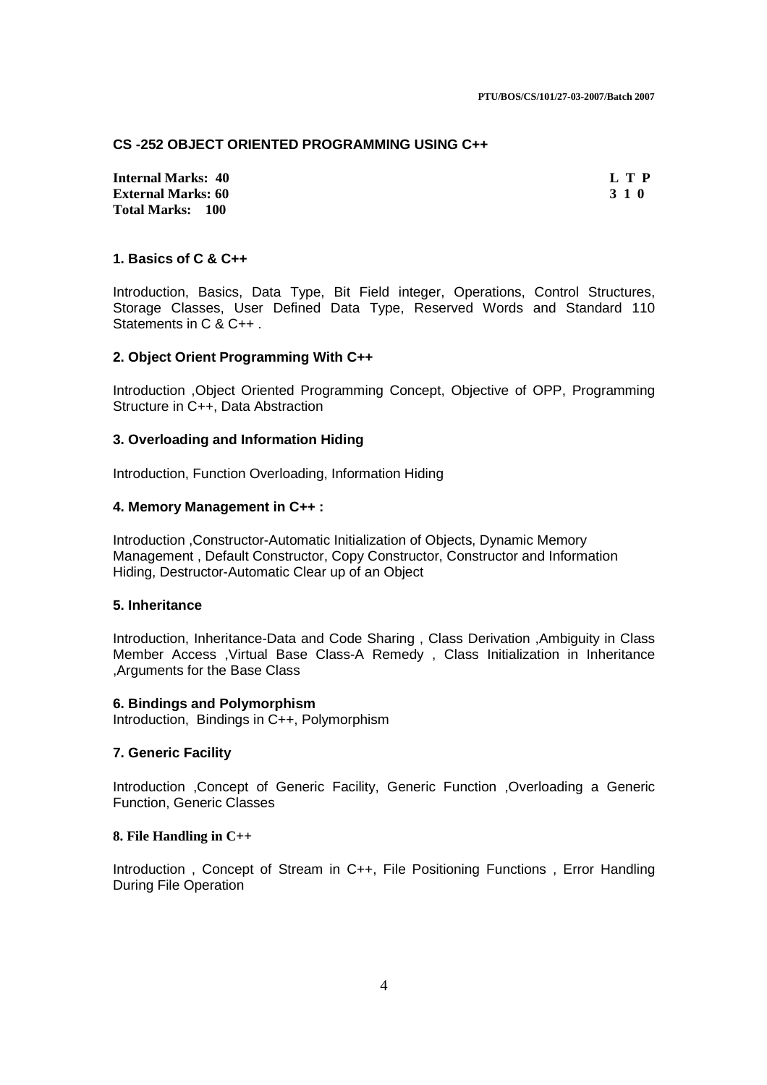#### **CS -252 OBJECT ORIENTED PROGRAMMING USING C++**

**Internal Marks: 40 L T P External Marks: 60 Total Marks: 100**

# **1. Basics of C & C++**

Introduction, Basics, Data Type, Bit Field integer, Operations, Control Structures, Storage Classes, User Defined Data Type, Reserved Words and Standard 110 Statements in C & C++ .

### **2. Object Orient Programming With C++**

Introduction ,Object Oriented Programming Concept, Objective of OPP, Programming Structure in C++, Data Abstraction

### **3. Overloading and Information Hiding**

Introduction, Function Overloading, Information Hiding

### **4. Memory Management in C++ :**

Introduction ,Constructor-Automatic Initialization of Objects, Dynamic Memory Management , Default Constructor, Copy Constructor, Constructor and Information Hiding, Destructor-Automatic Clear up of an Object

### **5. Inheritance**

Introduction, Inheritance-Data and Code Sharing , Class Derivation ,Ambiguity in Class Member Access ,Virtual Base Class-A Remedy , Class Initialization in Inheritance ,Arguments for the Base Class

### **6. Bindings and Polymorphism**

Introduction, Bindings in C++, Polymorphism

# **7. Generic Facility**

Introduction ,Concept of Generic Facility, Generic Function ,Overloading a Generic Function, Generic Classes

#### **8. File Handling in C++**

Introduction , Concept of Stream in C++, File Positioning Functions , Error Handling During File Operation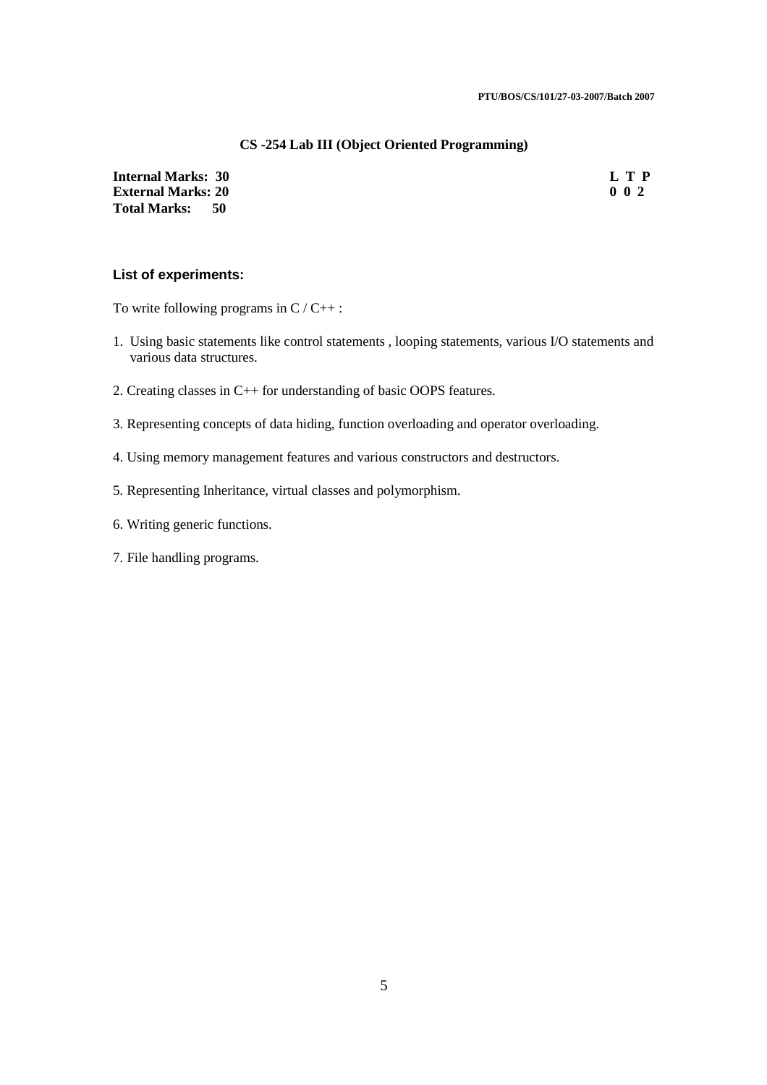### **CS -254 Lab III (Object Oriented Programming)**

**Internal Marks: 30 L T P**<br>**External Marks: 20** 0 2 **External Marks: 20 Total Marks: 50**

### **List of experiments:**

To write following programs in  $C / C_{++}$ :

- 1. Using basic statements like control statements , looping statements, various I/O statements and various data structures.
- 2. Creating classes in C++ for understanding of basic OOPS features.
- 3. Representing concepts of data hiding, function overloading and operator overloading.
- 4. Using memory management features and various constructors and destructors.
- 5. Representing Inheritance, virtual classes and polymorphism.
- 6. Writing generic functions.
- 7. File handling programs.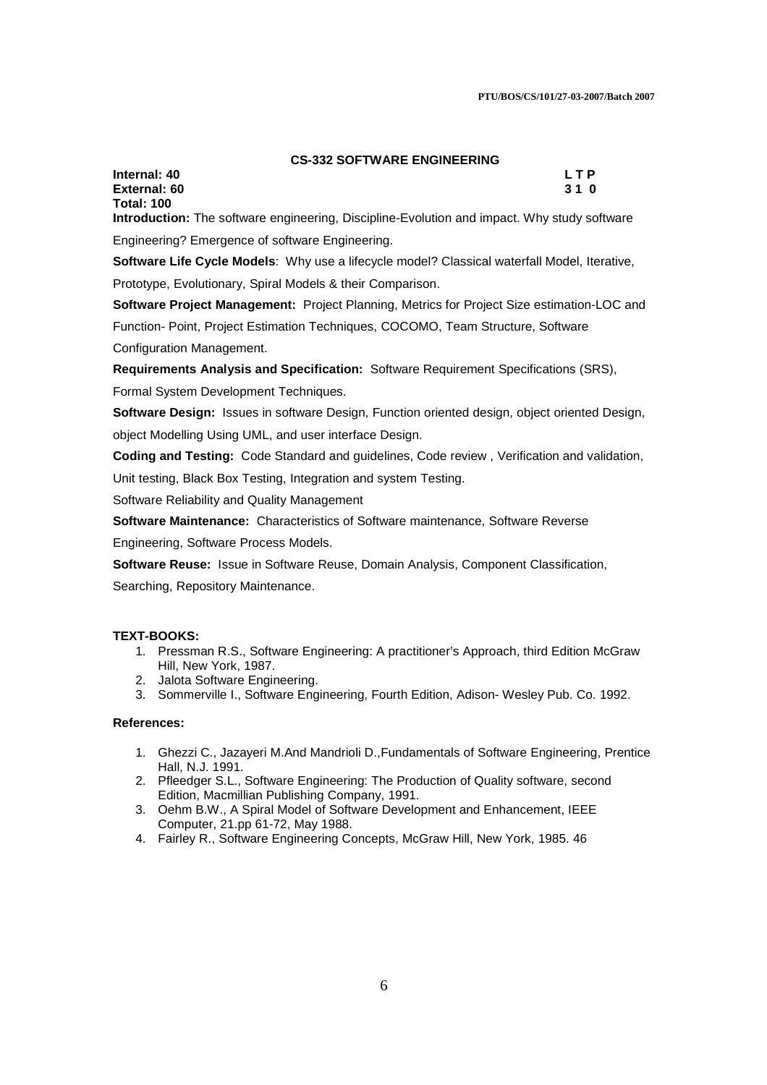#### **CS-332 SOFTWARE ENGINEERING**

**Internal: 40 L T P External: 60** 3 1 0 **Total: 100** 

**Introduction:** The software engineering, Discipline-Evolution and impact. Why study software Engineering? Emergence of software Engineering.

**Software Life Cycle Models**: Why use a lifecycle model? Classical waterfall Model, Iterative,

Prototype, Evolutionary, Spiral Models & their Comparison.

**Software Project Management:** Project Planning, Metrics for Project Size estimation-LOC and Function- Point, Project Estimation Techniques, COCOMO, Team Structure, Software Configuration Management.

**Requirements Analysis and Specification:** Software Requirement Specifications (SRS),

Formal System Development Techniques.

**Software Design:** Issues in software Design, Function oriented design, object oriented Design, object Modelling Using UML, and user interface Design.

**Coding and Testing:** Code Standard and guidelines, Code review , Verification and validation,

Unit testing, Black Box Testing, Integration and system Testing.

Software Reliability and Quality Management

**Software Maintenance:** Characteristics of Software maintenance, Software Reverse

Engineering, Software Process Models.

**Software Reuse:** Issue in Software Reuse, Domain Analysis, Component Classification,

Searching, Repository Maintenance.

#### **TEXT-BOOKS:**

- 1. Pressman R.S., Software Engineering: A practitioner's Approach, third Edition McGraw Hill, New York, 1987.
- 2. Jalota Software Engineering.
- 3. Sommerville I., Software Engineering, Fourth Edition, Adison- Wesley Pub. Co. 1992.

#### **References:**

- 1. Ghezzi C., Jazayeri M.And Mandrioli D.,Fundamentals of Software Engineering, Prentice Hall, N.J. 1991.
- 2. Pfleedger S.L., Software Engineering: The Production of Quality software, second Edition, Macmillian Publishing Company, 1991.
- 3. Oehm B.W., A Spiral Model of Software Development and Enhancement, IEEE Computer, 21.pp 61-72, May 1988.
- 4. Fairley R., Software Engineering Concepts, McGraw Hill, New York, 1985. 46